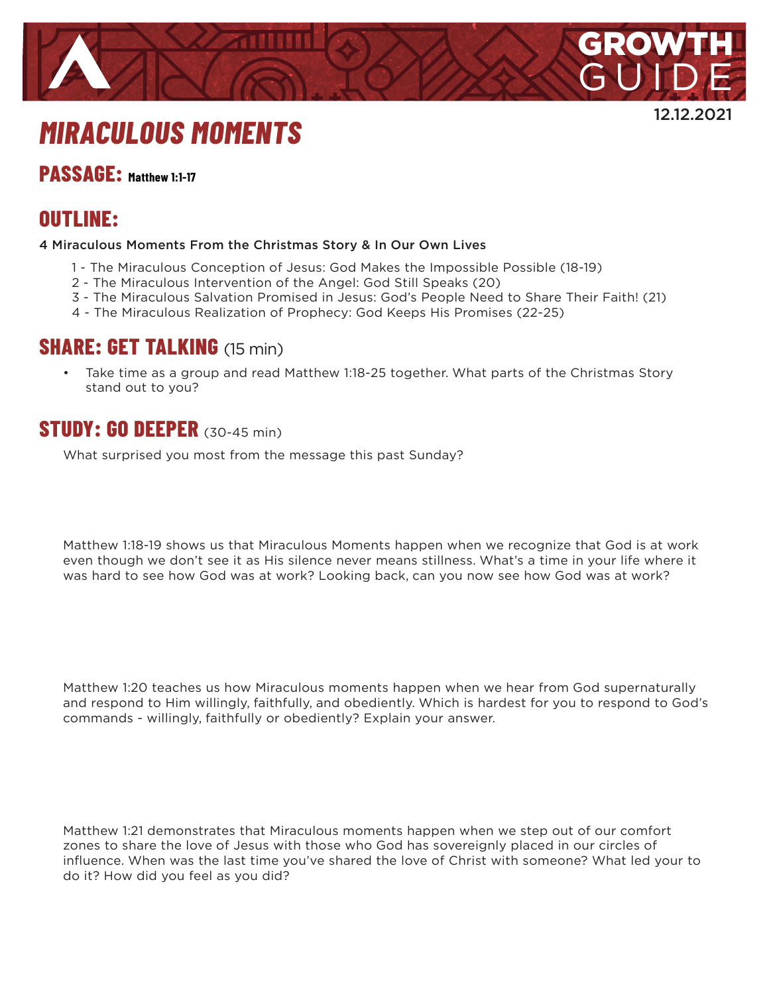

12.12.2021

# *MIRACULOUS MOMENTS*

#### **PASSAGE: Matthew 1:1-17**

## **OUTLINE:**

#### 4 Miraculous Moments From the Christmas Story & In Our Own Lives

- 1 The Miraculous Conception of Jesus: God Makes the Impossible Possible (18-19)
- 2 The Miraculous Intervention of the Angel: God Still Speaks (20)
- 3 The Miraculous Salvation Promised in Jesus: God's People Need to Share Their Faith! (21)
- 4 The Miraculous Realization of Prophecy: God Keeps His Promises (22-25)

#### **SHARE: GET TALKING** (15 min)

• Take time as a group and read Matthew 1:18-25 together. What parts of the Christmas Story stand out to you?

# **STUDY: GO DEEPER** (30-45 min)

What surprised you most from the message this past Sunday?

Matthew 1:18-19 shows us that Miraculous Moments happen when we recognize that God is at work even though we don't see it as His silence never means stillness. What's a time in your life where it was hard to see how God was at work? Looking back, can you now see how God was at work?

Matthew 1:20 teaches us how Miraculous moments happen when we hear from God supernaturally and respond to Him willingly, faithfully, and obediently. Which is hardest for you to respond to God's commands - willingly, faithfully or obediently? Explain your answer.

Matthew 1:21 demonstrates that Miraculous moments happen when we step out of our comfort zones to share the love of Jesus with those who God has sovereignly placed in our circles of influence. When was the last time you've shared the love of Christ with someone? What led your to do it? How did you feel as you did?